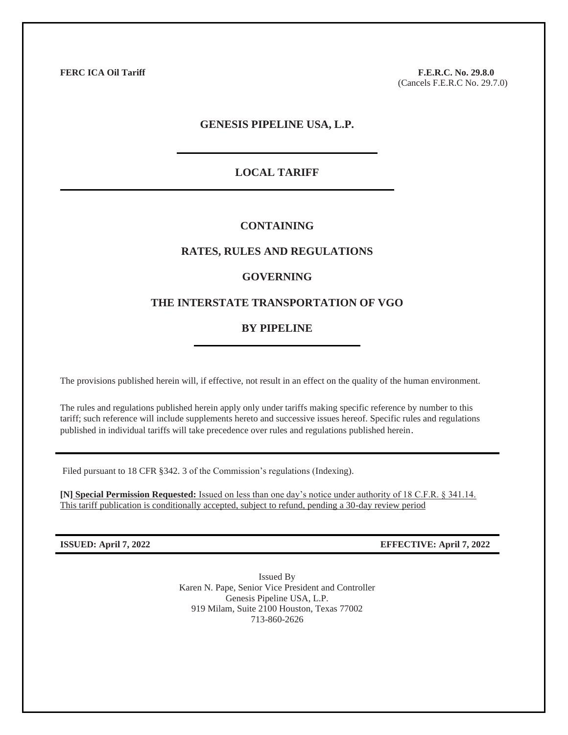**FERC ICA Oil Tariff F.E.R.C. No. 29.8.0** (Cancels F.E.R.C No. 29.7.0)

## **GENESIS PIPELINE USA, L.P.**

## **LOCAL TARIFF**

## **CONTAINING**

## **RATES, RULES AND REGULATIONS**

## **GOVERNING**

## **THE INTERSTATE TRANSPORTATION OF VGO**

## **BY PIPELINE**

The provisions published herein will, if effective, not result in an effect on the quality of the human environment.

The rules and regulations published herein apply only under tariffs making specific reference by number to this tariff; such reference will include supplements hereto and successive issues hereof. Specific rules and regulations published in individual tariffs will take precedence over rules and regulations published herein.

Filed pursuant to 18 CFR §342. 3 of the Commission's regulations (Indexing).

**[N] Special Permission Requested:** Issued on less than one day's notice under authority of 18 C.F.R. § 341.14. This tariff publication is conditionally accepted, subject to refund, pending a 30-day review period

**ISSUED: April 7, 2022 EFFECTIVE: April 7, 2022**

Issued By Karen N. Pape, Senior Vice President and Controller Genesis Pipeline USA, L.P. 919 Milam, Suite 2100 Houston, Texas 77002 713-860-2626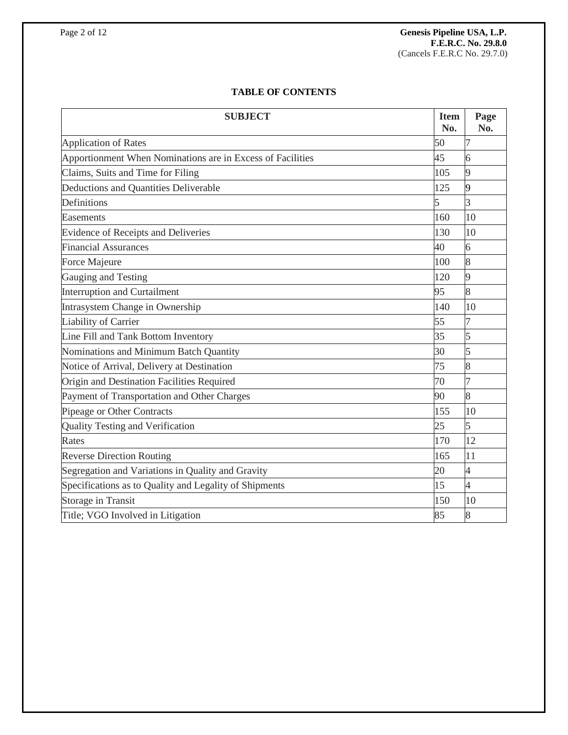# **TABLE OF CONTENTS**

| <b>SUBJECT</b>                                             | <b>Item</b><br>No. | Page<br>No.    |
|------------------------------------------------------------|--------------------|----------------|
| <b>Application of Rates</b>                                | 50                 |                |
| Apportionment When Nominations are in Excess of Facilities | 45                 | 6              |
| Claims, Suits and Time for Filing                          | 105                | 9              |
| Deductions and Quantities Deliverable                      | 125                | $\overline{9}$ |
| Definitions                                                | 5                  | 3              |
| Easements                                                  | 160                | 10             |
| Evidence of Receipts and Deliveries                        | 130                | 10             |
| <b>Financial Assurances</b>                                | 40                 | 6              |
| Force Majeure                                              | 100                | 8              |
| Gauging and Testing                                        | 120                | 9              |
| <b>Interruption and Curtailment</b>                        | 95                 | 8              |
| Intrasystem Change in Ownership                            | 140                | 10             |
| Liability of Carrier                                       | 55                 | 7              |
| Line Fill and Tank Bottom Inventory                        | 35                 | 5              |
| Nominations and Minimum Batch Quantity                     | 30                 | 5              |
| Notice of Arrival, Delivery at Destination                 | 75                 | 8              |
| Origin and Destination Facilities Required                 | 70                 | 7              |
| Payment of Transportation and Other Charges                | 90                 | 8              |
| Pipeage or Other Contracts                                 | 155                | 10             |
| Quality Testing and Verification                           | 25                 | 5              |
| Rates                                                      | 170                | 12             |
| <b>Reverse Direction Routing</b>                           | 165                | 11             |
| Segregation and Variations in Quality and Gravity          | 20                 | $\overline{4}$ |
| Specifications as to Quality and Legality of Shipments     | 15                 | $\overline{4}$ |
| Storage in Transit                                         | 150                | 10             |
| Title; VGO Involved in Litigation                          | 85                 | 8              |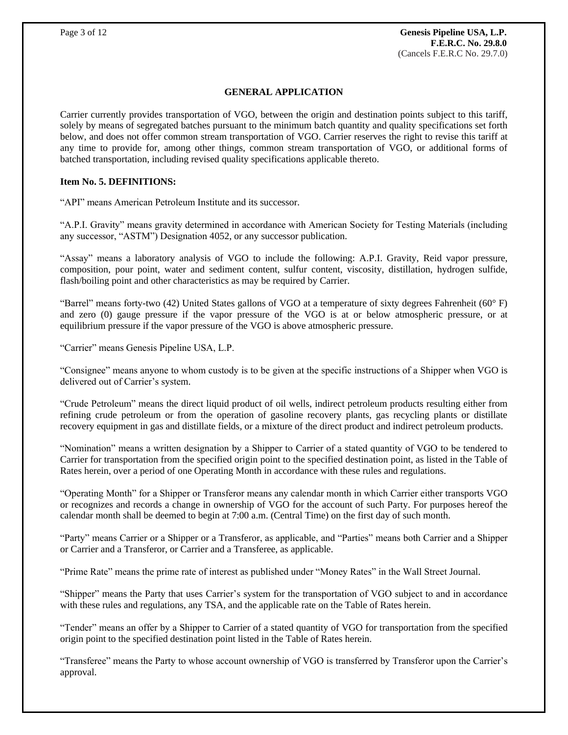## **GENERAL APPLICATION**

Carrier currently provides transportation of VGO, between the origin and destination points subject to this tariff, solely by means of segregated batches pursuant to the minimum batch quantity and quality specifications set forth below, and does not offer common stream transportation of VGO. Carrier reserves the right to revise this tariff at any time to provide for, among other things, common stream transportation of VGO, or additional forms of batched transportation, including revised quality specifications applicable thereto.

### **Item No. 5. DEFINITIONS:**

"API" means American Petroleum Institute and its successor.

"A.P.I. Gravity" means gravity determined in accordance with American Society for Testing Materials (including any successor, "ASTM") Designation 4052, or any successor publication.

"Assay" means a laboratory analysis of VGO to include the following: A.P.I. Gravity, Reid vapor pressure, composition, pour point, water and sediment content, sulfur content, viscosity, distillation, hydrogen sulfide, flash/boiling point and other characteristics as may be required by Carrier.

"Barrel" means forty-two (42) United States gallons of VGO at a temperature of sixty degrees Fahrenheit (60° F) and zero (0) gauge pressure if the vapor pressure of the VGO is at or below atmospheric pressure, or at equilibrium pressure if the vapor pressure of the VGO is above atmospheric pressure.

"Carrier" means Genesis Pipeline USA, L.P.

"Consignee" means anyone to whom custody is to be given at the specific instructions of a Shipper when VGO is delivered out of Carrier's system.

"Crude Petroleum" means the direct liquid product of oil wells, indirect petroleum products resulting either from refining crude petroleum or from the operation of gasoline recovery plants, gas recycling plants or distillate recovery equipment in gas and distillate fields, or a mixture of the direct product and indirect petroleum products.

"Nomination" means a written designation by a Shipper to Carrier of a stated quantity of VGO to be tendered to Carrier for transportation from the specified origin point to the specified destination point, as listed in the Table of Rates herein, over a period of one Operating Month in accordance with these rules and regulations.

"Operating Month" for a Shipper or Transferor means any calendar month in which Carrier either transports VGO or recognizes and records a change in ownership of VGO for the account of such Party. For purposes hereof the calendar month shall be deemed to begin at 7:00 a.m. (Central Time) on the first day of such month.

"Party" means Carrier or a Shipper or a Transferor, as applicable, and "Parties" means both Carrier and a Shipper or Carrier and a Transferor, or Carrier and a Transferee, as applicable.

"Prime Rate" means the prime rate of interest as published under "Money Rates" in the Wall Street Journal.

"Shipper" means the Party that uses Carrier's system for the transportation of VGO subject to and in accordance with these rules and regulations, any TSA, and the applicable rate on the Table of Rates herein.

"Tender" means an offer by a Shipper to Carrier of a stated quantity of VGO for transportation from the specified origin point to the specified destination point listed in the Table of Rates herein.

"Transferee" means the Party to whose account ownership of VGO is transferred by Transferor upon the Carrier's approval.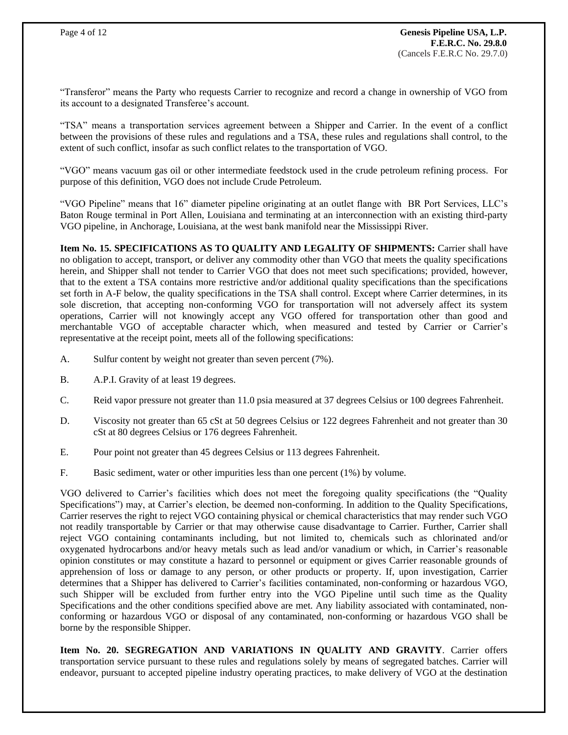"Transferor" means the Party who requests Carrier to recognize and record a change in ownership of VGO from its account to a designated Transferee's account.

"TSA" means a transportation services agreement between a Shipper and Carrier. In the event of a conflict between the provisions of these rules and regulations and a TSA, these rules and regulations shall control, to the extent of such conflict, insofar as such conflict relates to the transportation of VGO.

"VGO" means vacuum gas oil or other intermediate feedstock used in the crude petroleum refining process. For purpose of this definition, VGO does not include Crude Petroleum.

"VGO Pipeline" means that 16" diameter pipeline originating at an outlet flange with BR Port Services, LLC's Baton Rouge terminal in Port Allen, Louisiana and terminating at an interconnection with an existing third-party VGO pipeline, in Anchorage, Louisiana, at the west bank manifold near the Mississippi River.

**Item No. 15. SPECIFICATIONS AS TO QUALITY AND LEGALITY OF SHIPMENTS:** Carrier shall have no obligation to accept, transport, or deliver any commodity other than VGO that meets the quality specifications herein, and Shipper shall not tender to Carrier VGO that does not meet such specifications; provided, however, that to the extent a TSA contains more restrictive and/or additional quality specifications than the specifications set forth in A-F below, the quality specifications in the TSA shall control. Except where Carrier determines, in its sole discretion, that accepting non-conforming VGO for transportation will not adversely affect its system operations, Carrier will not knowingly accept any VGO offered for transportation other than good and merchantable VGO of acceptable character which, when measured and tested by Carrier or Carrier's representative at the receipt point, meets all of the following specifications:

- A. Sulfur content by weight not greater than seven percent (7%).
- B. A.P.I. Gravity of at least 19 degrees.
- C. Reid vapor pressure not greater than 11.0 psia measured at 37 degrees Celsius or 100 degrees Fahrenheit.
- D. Viscosity not greater than 65 cSt at 50 degrees Celsius or 122 degrees Fahrenheit and not greater than 30 cSt at 80 degrees Celsius or 176 degrees Fahrenheit.
- E. Pour point not greater than 45 degrees Celsius or 113 degrees Fahrenheit.
- F. Basic sediment, water or other impurities less than one percent (1%) by volume.

VGO delivered to Carrier's facilities which does not meet the foregoing quality specifications (the "Quality Specifications") may, at Carrier's election, be deemed non-conforming. In addition to the Quality Specifications, Carrier reserves the right to reject VGO containing physical or chemical characteristics that may render such VGO not readily transportable by Carrier or that may otherwise cause disadvantage to Carrier. Further, Carrier shall reject VGO containing contaminants including, but not limited to, chemicals such as chlorinated and/or oxygenated hydrocarbons and/or heavy metals such as lead and/or vanadium or which, in Carrier's reasonable opinion constitutes or may constitute a hazard to personnel or equipment or gives Carrier reasonable grounds of apprehension of loss or damage to any person, or other products or property. If, upon investigation, Carrier determines that a Shipper has delivered to Carrier's facilities contaminated, non-conforming or hazardous VGO, such Shipper will be excluded from further entry into the VGO Pipeline until such time as the Quality Specifications and the other conditions specified above are met. Any liability associated with contaminated, nonconforming or hazardous VGO or disposal of any contaminated, non-conforming or hazardous VGO shall be borne by the responsible Shipper.

**Item No. 20. SEGREGATION AND VARIATIONS IN QUALITY AND GRAVITY**. Carrier offers transportation service pursuant to these rules and regulations solely by means of segregated batches. Carrier will endeavor, pursuant to accepted pipeline industry operating practices, to make delivery of VGO at the destination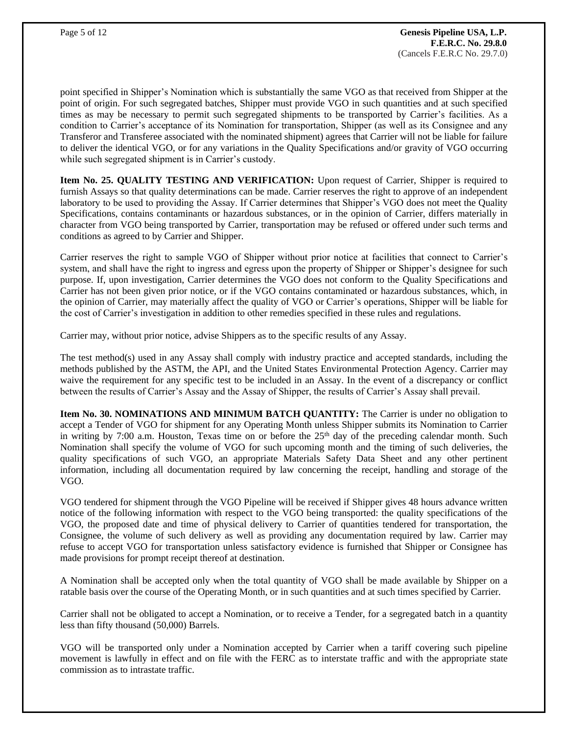point specified in Shipper's Nomination which is substantially the same VGO as that received from Shipper at the point of origin. For such segregated batches, Shipper must provide VGO in such quantities and at such specified times as may be necessary to permit such segregated shipments to be transported by Carrier's facilities. As a condition to Carrier's acceptance of its Nomination for transportation, Shipper (as well as its Consignee and any Transferor and Transferee associated with the nominated shipment) agrees that Carrier will not be liable for failure to deliver the identical VGO, or for any variations in the Quality Specifications and/or gravity of VGO occurring while such segregated shipment is in Carrier's custody.

**Item No. 25. QUALITY TESTING AND VERIFICATION:** Upon request of Carrier, Shipper is required to furnish Assays so that quality determinations can be made. Carrier reserves the right to approve of an independent laboratory to be used to providing the Assay. If Carrier determines that Shipper's VGO does not meet the Quality Specifications, contains contaminants or hazardous substances, or in the opinion of Carrier, differs materially in character from VGO being transported by Carrier, transportation may be refused or offered under such terms and conditions as agreed to by Carrier and Shipper.

Carrier reserves the right to sample VGO of Shipper without prior notice at facilities that connect to Carrier's system, and shall have the right to ingress and egress upon the property of Shipper or Shipper's designee for such purpose. If, upon investigation, Carrier determines the VGO does not conform to the Quality Specifications and Carrier has not been given prior notice, or if the VGO contains contaminated or hazardous substances, which, in the opinion of Carrier, may materially affect the quality of VGO or Carrier's operations, Shipper will be liable for the cost of Carrier's investigation in addition to other remedies specified in these rules and regulations.

Carrier may, without prior notice, advise Shippers as to the specific results of any Assay.

The test method(s) used in any Assay shall comply with industry practice and accepted standards, including the methods published by the ASTM, the API, and the United States Environmental Protection Agency. Carrier may waive the requirement for any specific test to be included in an Assay. In the event of a discrepancy or conflict between the results of Carrier's Assay and the Assay of Shipper, the results of Carrier's Assay shall prevail.

**Item No. 30. NOMINATIONS AND MINIMUM BATCH QUANTITY:** The Carrier is under no obligation to accept a Tender of VGO for shipment for any Operating Month unless Shipper submits its Nomination to Carrier in writing by 7:00 a.m. Houston, Texas time on or before the  $25<sup>th</sup>$  day of the preceding calendar month. Such Nomination shall specify the volume of VGO for such upcoming month and the timing of such deliveries, the quality specifications of such VGO, an appropriate Materials Safety Data Sheet and any other pertinent information, including all documentation required by law concerning the receipt, handling and storage of the VGO.

VGO tendered for shipment through the VGO Pipeline will be received if Shipper gives 48 hours advance written notice of the following information with respect to the VGO being transported: the quality specifications of the VGO, the proposed date and time of physical delivery to Carrier of quantities tendered for transportation, the Consignee, the volume of such delivery as well as providing any documentation required by law. Carrier may refuse to accept VGO for transportation unless satisfactory evidence is furnished that Shipper or Consignee has made provisions for prompt receipt thereof at destination.

A Nomination shall be accepted only when the total quantity of VGO shall be made available by Shipper on a ratable basis over the course of the Operating Month, or in such quantities and at such times specified by Carrier.

Carrier shall not be obligated to accept a Nomination, or to receive a Tender, for a segregated batch in a quantity less than fifty thousand (50,000) Barrels.

VGO will be transported only under a Nomination accepted by Carrier when a tariff covering such pipeline movement is lawfully in effect and on file with the FERC as to interstate traffic and with the appropriate state commission as to intrastate traffic.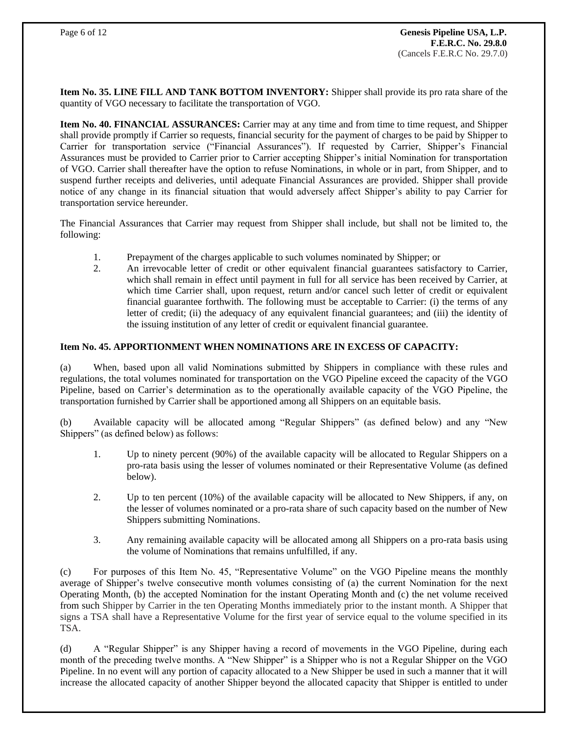**Item No. 35. LINE FILL AND TANK BOTTOM INVENTORY:** Shipper shall provide its pro rata share of the quantity of VGO necessary to facilitate the transportation of VGO.

**Item No. 40. FINANCIAL ASSURANCES:** Carrier may at any time and from time to time request, and Shipper shall provide promptly if Carrier so requests, financial security for the payment of charges to be paid by Shipper to Carrier for transportation service ("Financial Assurances"). If requested by Carrier, Shipper's Financial Assurances must be provided to Carrier prior to Carrier accepting Shipper's initial Nomination for transportation of VGO. Carrier shall thereafter have the option to refuse Nominations, in whole or in part, from Shipper, and to suspend further receipts and deliveries, until adequate Financial Assurances are provided. Shipper shall provide notice of any change in its financial situation that would adversely affect Shipper's ability to pay Carrier for transportation service hereunder.

The Financial Assurances that Carrier may request from Shipper shall include, but shall not be limited to, the following:

- 1. Prepayment of the charges applicable to such volumes nominated by Shipper; or
- 2. An irrevocable letter of credit or other equivalent financial guarantees satisfactory to Carrier, which shall remain in effect until payment in full for all service has been received by Carrier, at which time Carrier shall, upon request, return and/or cancel such letter of credit or equivalent financial guarantee forthwith. The following must be acceptable to Carrier: (i) the terms of any letter of credit; (ii) the adequacy of any equivalent financial guarantees; and (iii) the identity of the issuing institution of any letter of credit or equivalent financial guarantee.

## **Item No. 45. APPORTIONMENT WHEN NOMINATIONS ARE IN EXCESS OF CAPACITY:**

(a) When, based upon all valid Nominations submitted by Shippers in compliance with these rules and regulations, the total volumes nominated for transportation on the VGO Pipeline exceed the capacity of the VGO Pipeline, based on Carrier's determination as to the operationally available capacity of the VGO Pipeline, the transportation furnished by Carrier shall be apportioned among all Shippers on an equitable basis.

(b) Available capacity will be allocated among "Regular Shippers" (as defined below) and any "New Shippers" (as defined below) as follows:

- 1. Up to ninety percent (90%) of the available capacity will be allocated to Regular Shippers on a pro-rata basis using the lesser of volumes nominated or their Representative Volume (as defined below).
- 2. Up to ten percent (10%) of the available capacity will be allocated to New Shippers, if any, on the lesser of volumes nominated or a pro-rata share of such capacity based on the number of New Shippers submitting Nominations.
- 3. Any remaining available capacity will be allocated among all Shippers on a pro-rata basis using the volume of Nominations that remains unfulfilled, if any.

(c) For purposes of this Item No. 45, "Representative Volume" on the VGO Pipeline means the monthly average of Shipper's twelve consecutive month volumes consisting of (a) the current Nomination for the next Operating Month, (b) the accepted Nomination for the instant Operating Month and (c) the net volume received from such Shipper by Carrier in the ten Operating Months immediately prior to the instant month. A Shipper that signs a TSA shall have a Representative Volume for the first year of service equal to the volume specified in its TSA.

(d) A "Regular Shipper" is any Shipper having a record of movements in the VGO Pipeline, during each month of the preceding twelve months. A "New Shipper" is a Shipper who is not a Regular Shipper on the VGO Pipeline. In no event will any portion of capacity allocated to a New Shipper be used in such a manner that it will increase the allocated capacity of another Shipper beyond the allocated capacity that Shipper is entitled to under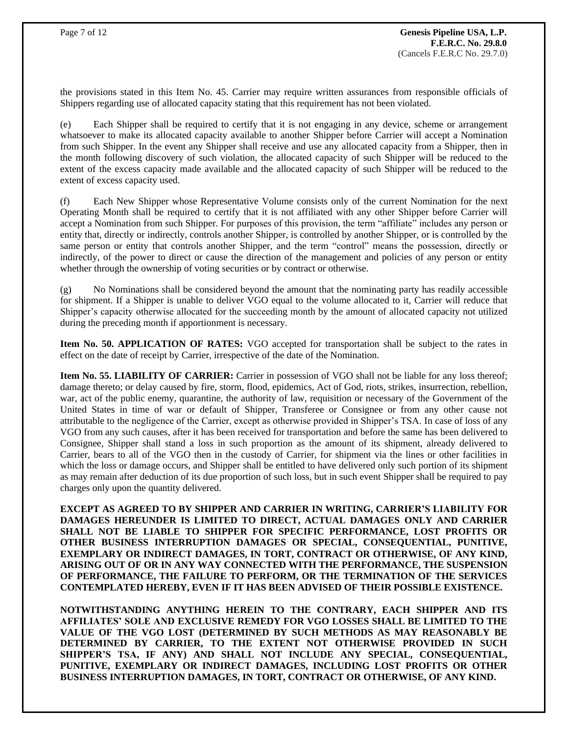the provisions stated in this Item No. 45. Carrier may require written assurances from responsible officials of Shippers regarding use of allocated capacity stating that this requirement has not been violated.

(e) Each Shipper shall be required to certify that it is not engaging in any device, scheme or arrangement whatsoever to make its allocated capacity available to another Shipper before Carrier will accept a Nomination from such Shipper. In the event any Shipper shall receive and use any allocated capacity from a Shipper, then in the month following discovery of such violation, the allocated capacity of such Shipper will be reduced to the extent of the excess capacity made available and the allocated capacity of such Shipper will be reduced to the extent of excess capacity used.

(f) Each New Shipper whose Representative Volume consists only of the current Nomination for the next Operating Month shall be required to certify that it is not affiliated with any other Shipper before Carrier will accept a Nomination from such Shipper. For purposes of this provision, the term "affiliate" includes any person or entity that, directly or indirectly, controls another Shipper, is controlled by another Shipper, or is controlled by the same person or entity that controls another Shipper, and the term "control" means the possession, directly or indirectly, of the power to direct or cause the direction of the management and policies of any person or entity whether through the ownership of voting securities or by contract or otherwise.

(g) No Nominations shall be considered beyond the amount that the nominating party has readily accessible for shipment. If a Shipper is unable to deliver VGO equal to the volume allocated to it, Carrier will reduce that Shipper's capacity otherwise allocated for the succeeding month by the amount of allocated capacity not utilized during the preceding month if apportionment is necessary.

**Item No. 50. APPLICATION OF RATES:** VGO accepted for transportation shall be subject to the rates in effect on the date of receipt by Carrier, irrespective of the date of the Nomination.

**Item No. 55. LIABILITY OF CARRIER:** Carrier in possession of VGO shall not be liable for any loss thereof; damage thereto; or delay caused by fire, storm, flood, epidemics, Act of God, riots, strikes, insurrection, rebellion, war, act of the public enemy, quarantine, the authority of law, requisition or necessary of the Government of the United States in time of war or default of Shipper, Transferee or Consignee or from any other cause not attributable to the negligence of the Carrier, except as otherwise provided in Shipper's TSA. In case of loss of any VGO from any such causes, after it has been received for transportation and before the same has been delivered to Consignee, Shipper shall stand a loss in such proportion as the amount of its shipment, already delivered to Carrier, bears to all of the VGO then in the custody of Carrier, for shipment via the lines or other facilities in which the loss or damage occurs, and Shipper shall be entitled to have delivered only such portion of its shipment as may remain after deduction of its due proportion of such loss, but in such event Shipper shall be required to pay charges only upon the quantity delivered.

**EXCEPT AS AGREED TO BY SHIPPER AND CARRIER IN WRITING, CARRIER'S LIABILITY FOR DAMAGES HEREUNDER IS LIMITED TO DIRECT, ACTUAL DAMAGES ONLY AND CARRIER SHALL NOT BE LIABLE TO SHIPPER FOR SPECIFIC PERFORMANCE, LOST PROFITS OR OTHER BUSINESS INTERRUPTION DAMAGES OR SPECIAL, CONSEQUENTIAL, PUNITIVE, EXEMPLARY OR INDIRECT DAMAGES, IN TORT, CONTRACT OR OTHERWISE, OF ANY KIND, ARISING OUT OF OR IN ANY WAY CONNECTED WITH THE PERFORMANCE, THE SUSPENSION OF PERFORMANCE, THE FAILURE TO PERFORM, OR THE TERMINATION OF THE SERVICES CONTEMPLATED HEREBY, EVEN IF IT HAS BEEN ADVISED OF THEIR POSSIBLE EXISTENCE.**

**NOTWITHSTANDING ANYTHING HEREIN TO THE CONTRARY, EACH SHIPPER AND ITS AFFILIATES' SOLE AND EXCLUSIVE REMEDY FOR VGO LOSSES SHALL BE LIMITED TO THE VALUE OF THE VGO LOST (DETERMINED BY SUCH METHODS AS MAY REASONABLY BE DETERMINED BY CARRIER, TO THE EXTENT NOT OTHERWISE PROVIDED IN SUCH SHIPPER'S TSA, IF ANY) AND SHALL NOT INCLUDE ANY SPECIAL, CONSEQUENTIAL, PUNITIVE, EXEMPLARY OR INDIRECT DAMAGES, INCLUDING LOST PROFITS OR OTHER BUSINESS INTERRUPTION DAMAGES, IN TORT, CONTRACT OR OTHERWISE, OF ANY KIND.**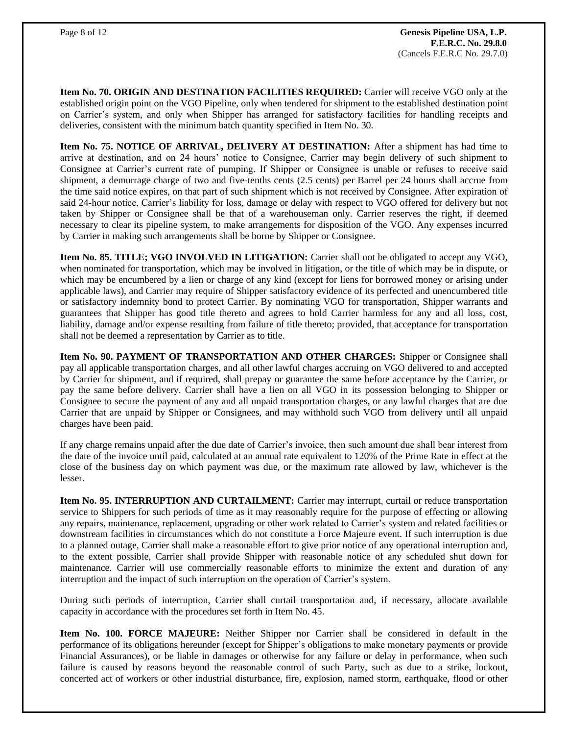**Item No. 70. ORIGIN AND DESTINATION FACILITIES REQUIRED:** Carrier will receive VGO only at the established origin point on the VGO Pipeline, only when tendered for shipment to the established destination point on Carrier's system, and only when Shipper has arranged for satisfactory facilities for handling receipts and deliveries, consistent with the minimum batch quantity specified in Item No. 30.

**Item No. 75. NOTICE OF ARRIVAL, DELIVERY AT DESTINATION:** After a shipment has had time to arrive at destination, and on 24 hours' notice to Consignee, Carrier may begin delivery of such shipment to Consignee at Carrier's current rate of pumping. If Shipper or Consignee is unable or refuses to receive said shipment, a demurrage charge of two and five-tenths cents (2.5 cents) per Barrel per 24 hours shall accrue from the time said notice expires, on that part of such shipment which is not received by Consignee. After expiration of said 24-hour notice, Carrier's liability for loss, damage or delay with respect to VGO offered for delivery but not taken by Shipper or Consignee shall be that of a warehouseman only. Carrier reserves the right, if deemed necessary to clear its pipeline system, to make arrangements for disposition of the VGO. Any expenses incurred by Carrier in making such arrangements shall be borne by Shipper or Consignee.

**Item No. 85. TITLE; VGO INVOLVED IN LITIGATION:** Carrier shall not be obligated to accept any VGO, when nominated for transportation, which may be involved in litigation, or the title of which may be in dispute, or which may be encumbered by a lien or charge of any kind (except for liens for borrowed money or arising under applicable laws), and Carrier may require of Shipper satisfactory evidence of its perfected and unencumbered title or satisfactory indemnity bond to protect Carrier. By nominating VGO for transportation, Shipper warrants and guarantees that Shipper has good title thereto and agrees to hold Carrier harmless for any and all loss, cost, liability, damage and/or expense resulting from failure of title thereto; provided, that acceptance for transportation shall not be deemed a representation by Carrier as to title.

**Item No. 90. PAYMENT OF TRANSPORTATION AND OTHER CHARGES:** Shipper or Consignee shall pay all applicable transportation charges, and all other lawful charges accruing on VGO delivered to and accepted by Carrier for shipment, and if required, shall prepay or guarantee the same before acceptance by the Carrier, or pay the same before delivery. Carrier shall have a lien on all VGO in its possession belonging to Shipper or Consignee to secure the payment of any and all unpaid transportation charges, or any lawful charges that are due Carrier that are unpaid by Shipper or Consignees, and may withhold such VGO from delivery until all unpaid charges have been paid.

If any charge remains unpaid after the due date of Carrier's invoice, then such amount due shall bear interest from the date of the invoice until paid, calculated at an annual rate equivalent to 120% of the Prime Rate in effect at the close of the business day on which payment was due, or the maximum rate allowed by law, whichever is the lesser.

**Item No. 95. INTERRUPTION AND CURTAILMENT:** Carrier may interrupt, curtail or reduce transportation service to Shippers for such periods of time as it may reasonably require for the purpose of effecting or allowing any repairs, maintenance, replacement, upgrading or other work related to Carrier's system and related facilities or downstream facilities in circumstances which do not constitute a Force Majeure event. If such interruption is due to a planned outage, Carrier shall make a reasonable effort to give prior notice of any operational interruption and, to the extent possible, Carrier shall provide Shipper with reasonable notice of any scheduled shut down for maintenance. Carrier will use commercially reasonable efforts to minimize the extent and duration of any interruption and the impact of such interruption on the operation of Carrier's system.

During such periods of interruption, Carrier shall curtail transportation and, if necessary, allocate available capacity in accordance with the procedures set forth in Item No. 45.

**Item No. 100. FORCE MAJEURE:** Neither Shipper nor Carrier shall be considered in default in the performance of its obligations hereunder (except for Shipper's obligations to make monetary payments or provide Financial Assurances), or be liable in damages or otherwise for any failure or delay in performance, when such failure is caused by reasons beyond the reasonable control of such Party, such as due to a strike, lockout, concerted act of workers or other industrial disturbance, fire, explosion, named storm, earthquake, flood or other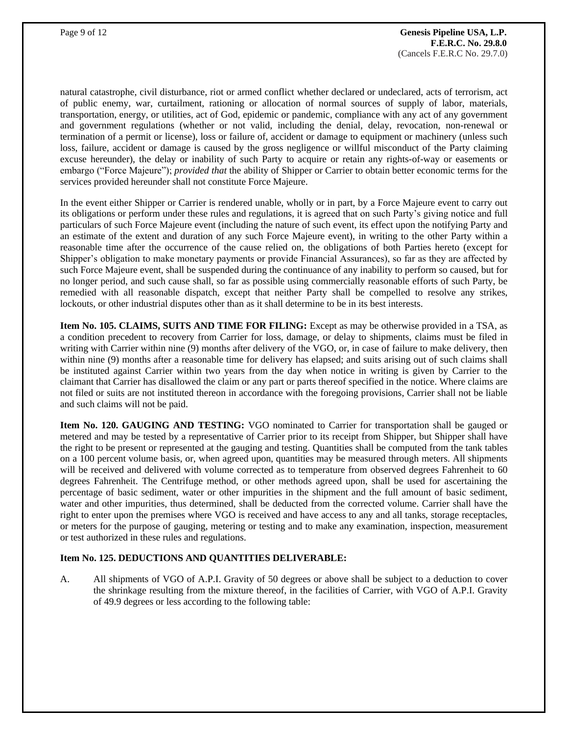natural catastrophe, civil disturbance, riot or armed conflict whether declared or undeclared, acts of terrorism, act of public enemy, war, curtailment, rationing or allocation of normal sources of supply of labor, materials, transportation, energy, or utilities, act of God, epidemic or pandemic, compliance with any act of any government and government regulations (whether or not valid, including the denial, delay, revocation, non-renewal or termination of a permit or license), loss or failure of, accident or damage to equipment or machinery (unless such loss, failure, accident or damage is caused by the gross negligence or willful misconduct of the Party claiming excuse hereunder), the delay or inability of such Party to acquire or retain any rights-of-way or easements or embargo ("Force Majeure"); *provided that* the ability of Shipper or Carrier to obtain better economic terms for the services provided hereunder shall not constitute Force Majeure.

In the event either Shipper or Carrier is rendered unable, wholly or in part, by a Force Majeure event to carry out its obligations or perform under these rules and regulations, it is agreed that on such Party's giving notice and full particulars of such Force Majeure event (including the nature of such event, its effect upon the notifying Party and an estimate of the extent and duration of any such Force Majeure event), in writing to the other Party within a reasonable time after the occurrence of the cause relied on, the obligations of both Parties hereto (except for Shipper's obligation to make monetary payments or provide Financial Assurances), so far as they are affected by such Force Majeure event, shall be suspended during the continuance of any inability to perform so caused, but for no longer period, and such cause shall, so far as possible using commercially reasonable efforts of such Party, be remedied with all reasonable dispatch, except that neither Party shall be compelled to resolve any strikes, lockouts, or other industrial disputes other than as it shall determine to be in its best interests.

**Item No. 105. CLAIMS, SUITS AND TIME FOR FILING:** Except as may be otherwise provided in a TSA, as a condition precedent to recovery from Carrier for loss, damage, or delay to shipments, claims must be filed in writing with Carrier within nine (9) months after delivery of the VGO, or, in case of failure to make delivery, then within nine (9) months after a reasonable time for delivery has elapsed; and suits arising out of such claims shall be instituted against Carrier within two years from the day when notice in writing is given by Carrier to the claimant that Carrier has disallowed the claim or any part or parts thereof specified in the notice. Where claims are not filed or suits are not instituted thereon in accordance with the foregoing provisions, Carrier shall not be liable and such claims will not be paid.

**Item No. 120. GAUGING AND TESTING:** VGO nominated to Carrier for transportation shall be gauged or metered and may be tested by a representative of Carrier prior to its receipt from Shipper, but Shipper shall have the right to be present or represented at the gauging and testing. Quantities shall be computed from the tank tables on a 100 percent volume basis, or, when agreed upon, quantities may be measured through meters. All shipments will be received and delivered with volume corrected as to temperature from observed degrees Fahrenheit to 60 degrees Fahrenheit. The Centrifuge method, or other methods agreed upon, shall be used for ascertaining the percentage of basic sediment, water or other impurities in the shipment and the full amount of basic sediment, water and other impurities, thus determined, shall be deducted from the corrected volume. Carrier shall have the right to enter upon the premises where VGO is received and have access to any and all tanks, storage receptacles, or meters for the purpose of gauging, metering or testing and to make any examination, inspection, measurement or test authorized in these rules and regulations.

## **Item No. 125. DEDUCTIONS AND QUANTITIES DELIVERABLE:**

A. All shipments of VGO of A.P.I. Gravity of 50 degrees or above shall be subject to a deduction to cover the shrinkage resulting from the mixture thereof, in the facilities of Carrier, with VGO of A.P.I. Gravity of 49.9 degrees or less according to the following table: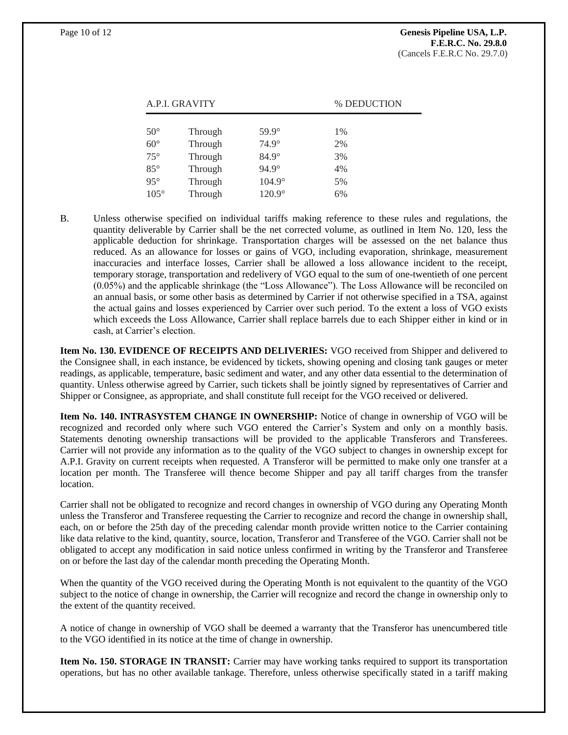| A.P.I. GRAVITY |         |               | % DEDUCTION |
|----------------|---------|---------------|-------------|
|                |         |               |             |
| $50^{\circ}$   | Through | 59.9°         | 1%          |
| $60^\circ$     | Through | $74.9^\circ$  | 2%          |
| $75^{\circ}$   | Through | $84.9^\circ$  | 3%          |
| $85^\circ$     | Through | $94.9^\circ$  | 4%          |
| $95^\circ$     | Through | $104.9^\circ$ | 5%          |
| $105^\circ$    | Through | 120.9°        | 6%          |

B. Unless otherwise specified on individual tariffs making reference to these rules and regulations, the quantity deliverable by Carrier shall be the net corrected volume, as outlined in Item No. 120, less the applicable deduction for shrinkage. Transportation charges will be assessed on the net balance thus reduced. As an allowance for losses or gains of VGO, including evaporation, shrinkage, measurement inaccuracies and interface losses, Carrier shall be allowed a loss allowance incident to the receipt, temporary storage, transportation and redelivery of VGO equal to the sum of one-twentieth of one percent (0.05%) and the applicable shrinkage (the "Loss Allowance"). The Loss Allowance will be reconciled on an annual basis, or some other basis as determined by Carrier if not otherwise specified in a TSA, against the actual gains and losses experienced by Carrier over such period. To the extent a loss of VGO exists which exceeds the Loss Allowance, Carrier shall replace barrels due to each Shipper either in kind or in cash, at Carrier's election.

**Item No. 130. EVIDENCE OF RECEIPTS AND DELIVERIES:** VGO received from Shipper and delivered to the Consignee shall, in each instance, be evidenced by tickets, showing opening and closing tank gauges or meter readings, as applicable, temperature, basic sediment and water, and any other data essential to the determination of quantity. Unless otherwise agreed by Carrier, such tickets shall be jointly signed by representatives of Carrier and Shipper or Consignee, as appropriate, and shall constitute full receipt for the VGO received or delivered.

**Item No. 140. INTRASYSTEM CHANGE IN OWNERSHIP:** Notice of change in ownership of VGO will be recognized and recorded only where such VGO entered the Carrier's System and only on a monthly basis. Statements denoting ownership transactions will be provided to the applicable Transferors and Transferees. Carrier will not provide any information as to the quality of the VGO subject to changes in ownership except for A.P.I. Gravity on current receipts when requested. A Transferor will be permitted to make only one transfer at a location per month. The Transferee will thence become Shipper and pay all tariff charges from the transfer location.

Carrier shall not be obligated to recognize and record changes in ownership of VGO during any Operating Month unless the Transferor and Transferee requesting the Carrier to recognize and record the change in ownership shall, each, on or before the 25th day of the preceding calendar month provide written notice to the Carrier containing like data relative to the kind, quantity, source, location, Transferor and Transferee of the VGO. Carrier shall not be obligated to accept any modification in said notice unless confirmed in writing by the Transferor and Transferee on or before the last day of the calendar month preceding the Operating Month.

When the quantity of the VGO received during the Operating Month is not equivalent to the quantity of the VGO subject to the notice of change in ownership, the Carrier will recognize and record the change in ownership only to the extent of the quantity received.

A notice of change in ownership of VGO shall be deemed a warranty that the Transferor has unencumbered title to the VGO identified in its notice at the time of change in ownership.

**Item No. 150. STORAGE IN TRANSIT:** Carrier may have working tanks required to support its transportation operations, but has no other available tankage. Therefore, unless otherwise specifically stated in a tariff making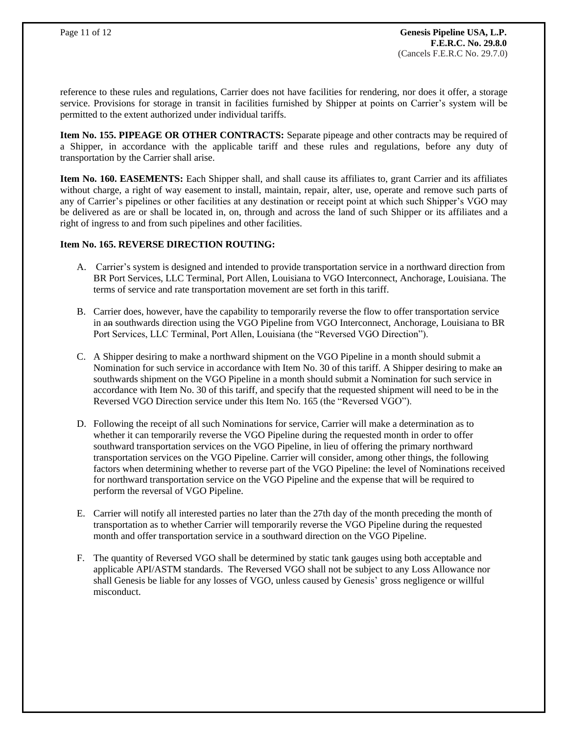reference to these rules and regulations, Carrier does not have facilities for rendering, nor does it offer, a storage service. Provisions for storage in transit in facilities furnished by Shipper at points on Carrier's system will be permitted to the extent authorized under individual tariffs.

**Item No. 155. PIPEAGE OR OTHER CONTRACTS:** Separate pipeage and other contracts may be required of a Shipper, in accordance with the applicable tariff and these rules and regulations, before any duty of transportation by the Carrier shall arise.

**Item No. 160. EASEMENTS:** Each Shipper shall, and shall cause its affiliates to, grant Carrier and its affiliates without charge, a right of way easement to install, maintain, repair, alter, use, operate and remove such parts of any of Carrier's pipelines or other facilities at any destination or receipt point at which such Shipper's VGO may be delivered as are or shall be located in, on, through and across the land of such Shipper or its affiliates and a right of ingress to and from such pipelines and other facilities.

#### **Item No. 165. REVERSE DIRECTION ROUTING:**

- A. Carrier's system is designed and intended to provide transportation service in a northward direction from BR Port Services, LLC Terminal, Port Allen, Louisiana to VGO Interconnect, Anchorage, Louisiana. The terms of service and rate transportation movement are set forth in this tariff.
- B. Carrier does, however, have the capability to temporarily reverse the flow to offer transportation service in an southwards direction using the VGO Pipeline from VGO Interconnect, Anchorage, Louisiana to BR Port Services, LLC Terminal, Port Allen, Louisiana (the "Reversed VGO Direction").
- C. A Shipper desiring to make a northward shipment on the VGO Pipeline in a month should submit a Nomination for such service in accordance with Item No. 30 of this tariff. A Shipper desiring to make an southwards shipment on the VGO Pipeline in a month should submit a Nomination for such service in accordance with Item No. 30 of this tariff, and specify that the requested shipment will need to be in the Reversed VGO Direction service under this Item No. 165 (the "Reversed VGO").
- D. Following the receipt of all such Nominations for service, Carrier will make a determination as to whether it can temporarily reverse the VGO Pipeline during the requested month in order to offer southward transportation services on the VGO Pipeline, in lieu of offering the primary northward transportation services on the VGO Pipeline. Carrier will consider, among other things, the following factors when determining whether to reverse part of the VGO Pipeline: the level of Nominations received for northward transportation service on the VGO Pipeline and the expense that will be required to perform the reversal of VGO Pipeline.
- E. Carrier will notify all interested parties no later than the 27th day of the month preceding the month of transportation as to whether Carrier will temporarily reverse the VGO Pipeline during the requested month and offer transportation service in a southward direction on the VGO Pipeline.
- F. The quantity of Reversed VGO shall be determined by static tank gauges using both acceptable and applicable API/ASTM standards. The Reversed VGO shall not be subject to any Loss Allowance nor shall Genesis be liable for any losses of VGO, unless caused by Genesis' gross negligence or willful misconduct.